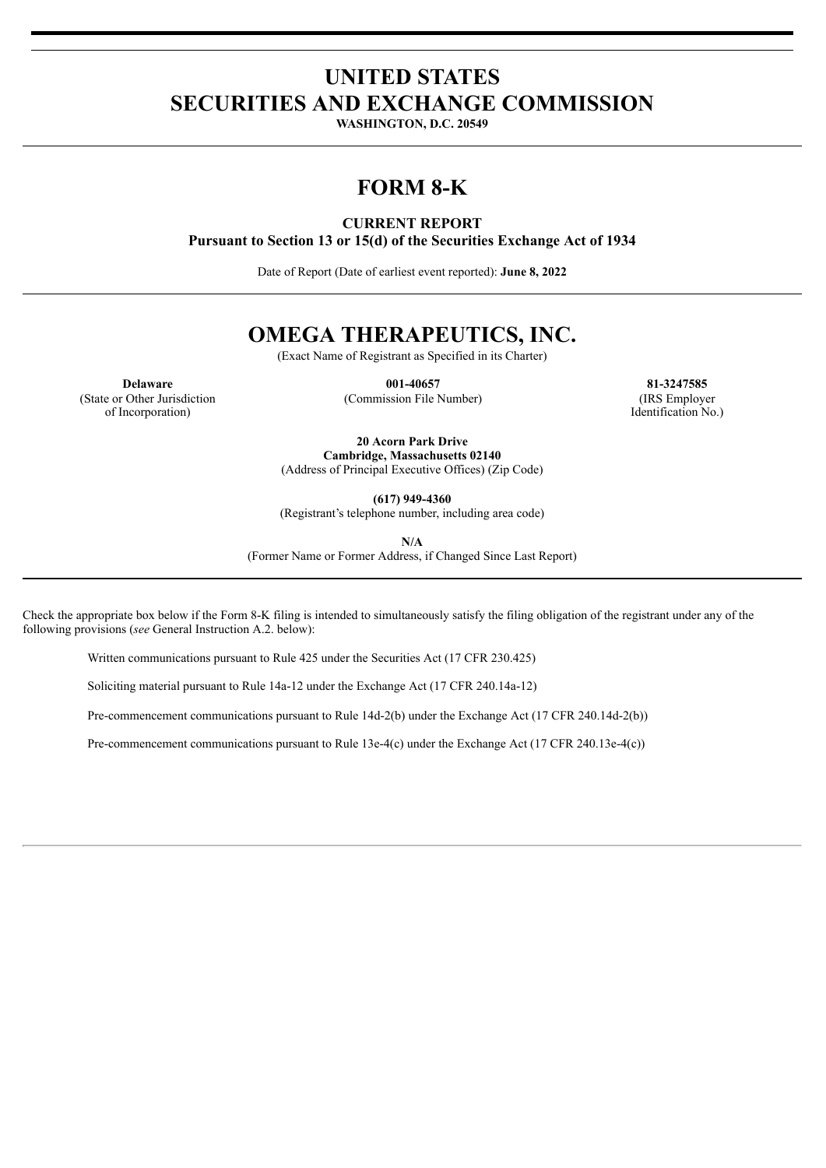## **UNITED STATES SECURITIES AND EXCHANGE COMMISSION**

**WASHINGTON, D.C. 20549**

# **FORM 8-K**

### **CURRENT REPORT**

**Pursuant to Section 13 or 15(d) of the Securities Exchange Act of 1934**

Date of Report (Date of earliest event reported): **June 8, 2022**

# **OMEGA THERAPEUTICS, INC.**

(Exact Name of Registrant as Specified in its Charter)

(State or Other Jurisdiction of Incorporation)

(Commission File Number) (IRS Employer

**Delaware 001-40657 81-3247585** Identification No.)

> **20 Acorn Park Drive Cambridge, Massachusetts 02140** (Address of Principal Executive Offices) (Zip Code)

> > **(617) 949-4360**

(Registrant's telephone number, including area code)

**N/A**

(Former Name or Former Address, if Changed Since Last Report)

Check the appropriate box below if the Form 8-K filing is intended to simultaneously satisfy the filing obligation of the registrant under any of the following provisions (*see* General Instruction A.2. below):

Written communications pursuant to Rule 425 under the Securities Act (17 CFR 230.425)

Soliciting material pursuant to Rule 14a-12 under the Exchange Act (17 CFR 240.14a-12)

Pre-commencement communications pursuant to Rule 14d-2(b) under the Exchange Act (17 CFR 240.14d-2(b))

Pre-commencement communications pursuant to Rule 13e-4(c) under the Exchange Act (17 CFR 240.13e-4(c))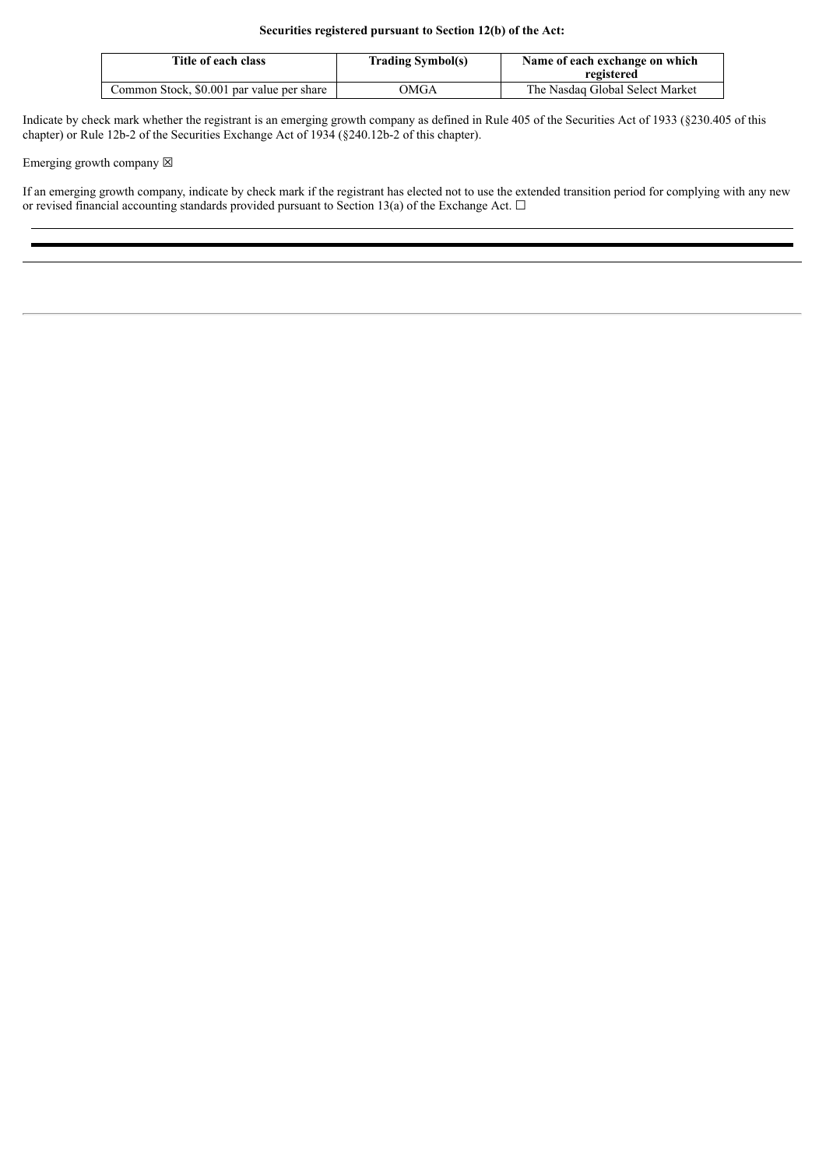| Title of each class                       | <b>Trading Symbol(s)</b> | Name of each exchange on which<br>registered |
|-------------------------------------------|--------------------------|----------------------------------------------|
| Common Stock, \$0.001 par value per share | OMGA                     | The Nasdag Global Select Market              |

Indicate by check mark whether the registrant is an emerging growth company as defined in Rule 405 of the Securities Act of 1933 (§230.405 of this chapter) or Rule 12b-2 of the Securities Exchange Act of 1934 (§240.12b-2 of this chapter).

Emerging growth company  $\boxtimes$ 

If an emerging growth company, indicate by check mark if the registrant has elected not to use the extended transition period for complying with any new or revised financial accounting standards provided pursuant to Section 13(a) of the Exchange Act.  $\Box$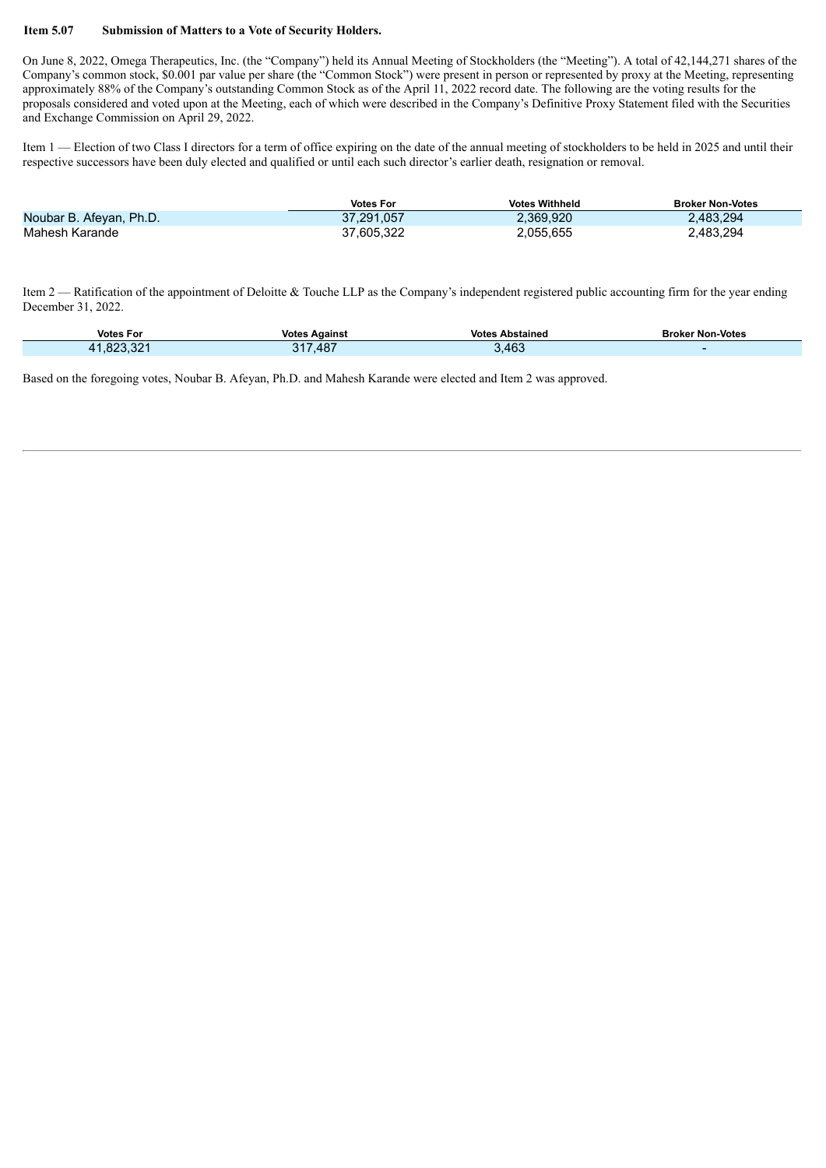#### **Item 5.07 Submission of Matters to a Vote of Security Holders.**

On June 8, 2022, Omega Therapeutics, Inc. (the "Company") held its Annual Meeting of Stockholders (the "Meeting"). A total of 42,144,271 shares of the Company's common stock, \$0.001 par value per share (the "Common Stock") were present in person or represented by proxy at the Meeting, representing approximately 88% of the Company's outstanding Common Stock as of the April 11, 2022 record date. The following are the voting results for the proposals considered and voted upon at the Meeting, each of which were described in the Company's Definitive Proxy Statement filed with the Securities and Exchange Commission on April 29, 2022.

Item 1 — Election of two Class I directors for a term of office expiring on the date of the annual meeting of stockholders to be held in 2025 and until their respective successors have been duly elected and qualified or until each such director's earlier death, resignation or removal.

|                         | <b>Votes For</b> | <b>Votes Withheld</b> | <b>Broker Non-Votes</b> |
|-------------------------|------------------|-----------------------|-------------------------|
| Noubar B. Afeyan, Ph.D. | 37.291.057       | 2,369,920             | 2,483,294               |
| Mahesh Karande          | 37.605.322       | 2,055,655             | 2,483,294               |

Item 2 — Ratification of the appointment of Deloitte & Touche LLP as the Company's independent registered public accounting firm for the year ending December 31, 2022.

| <b>Votes For</b>    | <b>Votes Against</b> | <b>Votes Abstained</b> | <b>Broker Non-Votes</b> |
|---------------------|----------------------|------------------------|-------------------------|
| . രറ്റ ററ4<br>⊹∠ס.⊦ | ,487<br>$24^{\circ}$ | .463                   |                         |

Based on the foregoing votes, Noubar B. Afeyan, Ph.D. and Mahesh Karande were elected and Item 2 was approved.